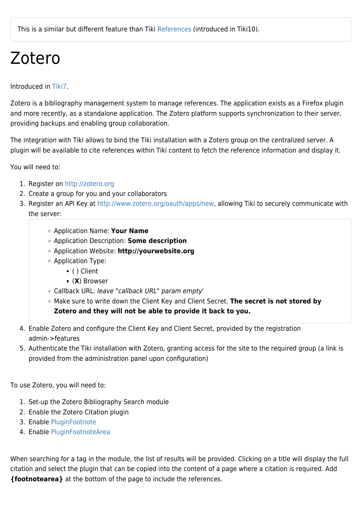## Zotero

Introduced in [Tiki7.](https://doc.tiki.org/Tiki7)

Zotero is a bibliography management system to manage references. The application exists as a Firefox plugin and more recently, as a standalone application. The Zotero platform supports synchronization to their server, providing backups and enabling group collaboration.

The integration with Tiki allows to bind the Tiki installation with a Zotero group on the centralized server. A plugin will be available to cite references within Tiki content to fetch the reference information and display it.

You will need to:

- 1. Register on <http://zotero.org>
- 2. Create a group for you and your collaborators
- 3. Register an API Key at [http://www.zotero.org/oauth/apps/new,](http://www.zotero.org/oauth/apps/new) allowing Tiki to securely communicate with the server:
	- Application Name: **Your Name**
	- Application Description: **Some description**
	- Application Website: **http://yourwebsite.org**
	- Application Type:
		- ( ) Client
		- (**X**) Browser
	- Callback URL: leave "callback URL" param empty'
	- Make sure to write down the Client Key and Client Secret. **The secret is not stored by Zotero and they will not be able to provide it back to you.**
- 4. Enable Zotero and configure the Client Key and Client Secret, provided by the registration admin->features
- 5. Authenticate the Tiki installation with Zotero, granting access for the site to the required group (a link is provided from the administration panel upon configuration)

To use Zotero, you will need to:

- 1. Set-up the Zotero Bibliography Search module
- 2. Enable the Zotero Citation plugin
- 3. Enable [PluginFootnote](https://doc.tiki.org/PluginFootnote)
- 4. Enable [PluginFootnoteArea](https://doc.tiki.org/PluginFootnoteArea)

When searching for a tag in the module, the list of results will be provided. Clicking on a title will display the full citation and select the plugin that can be copied into the content of a page where a citation is required. Add **{footnotearea}** at the bottom of the page to include the references.